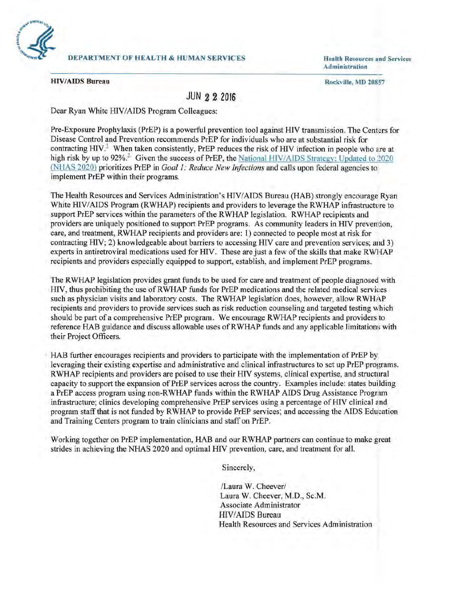

Administration

**HIV/AIDS Bureau Rockville, MD 20857** 

## **JUN 2 2 2016**

Dear Ryan White HIV/AIDS Program Colleagues:

Pre-Exposure Prophylaxis (PrEP) is a powerful prevention tool against HIV transmission. The Centers for Disease Control and Prevention recommends PrEP for individuals who are at substantial risk for contracting  $HIV<sup>1</sup>$  When taken consistently, PrEP reduces the risk of HIV infection in people who are at high risk by up to 92%.<sup>2</sup> Given the success of PrEP, the National HIV/AIDS Strategy: Updated to 2020 (NHAS 2020) prioritizes PrEP in *Goal 1: Reduce New Infections* and calls upon federal agencies to implement PrEP within their programs.

The Health Resources and Services Administration's HIV/AIDS Bureau (HAB) strongly encourage Ryan White HIV/AIDS Program (RWHAP) recipients and providers to leverage the RWHAP infrastructure to support PrEP services within the parameters of the RWHAP legislation. RWHAP recipients and providers are uniquely positioned to support PrEP programs. As community leaders in HIV prevention, care, and treatment, RWHAP recipients and providers are: 1) connected to people most at risk for contracting HIV; 2) knowledgeable about barriers to accessing HIV care and prevention services; and 3) experts in antiretroviral medications used for HIV. These are just a few of the skills that make RWHAP recipients and providers especially equipped to support, establish, and implement PrEP programs.

The RWHAP legislation provides grant funds to be used for care and treatment of people diagnosed with HIV, thus prohibiting the use ofRWHAP funds for PrEP medications and the related medical services such as physician visits and laboratory costs. The RWHAP legislation does, however, allow RWHAP recipients and providers to provide services such as risk reduction counseling and targeted testing which should be part of a comprehensive PrEP program. We encourage RWHAP recipients and providers to reference HAB guidance and discuss allowable uses of RWHAP funds and any applicable limitations with their Project Officers.

HAB further encourages recipients and providers to participate with the implementation of PrEP by leveraging their existing expertise and administrative and clinical infrastructures to set up PrEP programs. RWHAP recipients and providers are poised to use their HIV systems, clinical expertise, and structural capacity to support the expansion of PrEP services across the country. Examples include: states building a PrEP access program using non-RWHAP funds within the RWHAP AIDS Drug Assistance Program infrastructure; clinics developing comprehensive PrEP services using a percentage of HIV clinical and program staff that is not funded by R WHAP to provide PrEP services; and accessing the A IDS Education and Training Centers program to train clinicians and staff on PrEP.

Working together on PrEP implementation, HAB and our RWHAP partners can continue to make great strides in achieving the NHAS 2020 and optimal HIV prevention, care, and treatment for all.

Sincerely,

/Laura W. Cheever/ Laura W. Cheever, M.D., Sc.M . Associate Administrator HIVIAIDS Bureau Health Resources and Services Administration